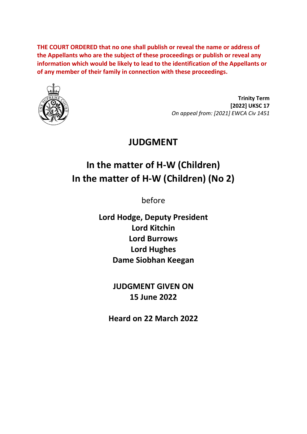**THE COURT ORDERED that no one shall publish or reveal the name or address of the Appellants who are the subject of these proceedings or publish or reveal any information which would be likely to lead to the identification of the Appellants or of any member of their family in connection with these proceedings.**



**Trinity Term [2022] UKSC 17** *On appeal from: [2021] EWCA Civ 1451*

## **JUDGMENT**

# **In the matter of H-W (Children) In the matter of H-W (Children) (No 2)**

before

**Lord Hodge, Deputy President Lord Kitchin Lord Burrows Lord Hughes Dame Siobhan Keegan**

> **JUDGMENT GIVEN ON 15 June 2022**

**Heard on 22 March 2022**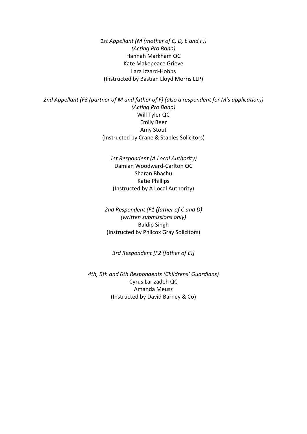*1st Appellant (M (mother of C, D, E and F)) (Acting Pro Bono)* Hannah Markham QC Kate Makepeace Grieve Lara Izzard-Hobbs (Instructed by Bastian Lloyd Morris LLP)

*2nd Appellant (F3 (partner of M and father of F) (also a respondent for M's application)) (Acting Pro Bono)* Will Tyler QC Emily Beer Amy Stout (Instructed by Crane & Staples Solicitors)

> *1st Respondent (A Local Authority)* Damian Woodward-Carlton QC Sharan Bhachu Katie Phillips (Instructed by A Local Authority)

*2nd Respondent (F1 (father of C and D) (written submissions only)* Baldip Singh (Instructed by Philcox Gray Solicitors)

*3rd Respondent [F2 (father of E)]*

*4th, 5th and 6th Respondents (Childrens' Guardians)* Cyrus Larizadeh QC Amanda Meusz (Instructed by David Barney & Co)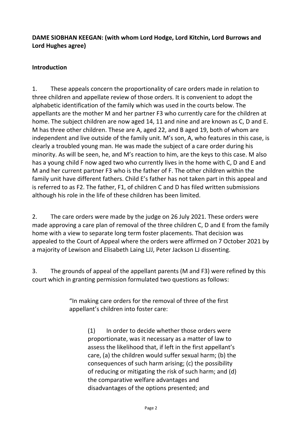#### **DAME SIOBHAN KEEGAN: (with whom Lord Hodge, Lord Kitchin, Lord Burrows and Lord Hughes agree)**

#### **Introduction**

1. These appeals concern the proportionality of care orders made in relation to three children and appellate review of those orders. It is convenient to adopt the alphabetic identification of the family which was used in the courts below. The appellants are the mother M and her partner F3 who currently care for the children at home. The subject children are now aged 14, 11 and nine and are known as C, D and E. M has three other children. These are A, aged 22, and B aged 19, both of whom are independent and live outside of the family unit. M's son, A, who features in this case, is clearly a troubled young man. He was made the subject of a care order during his minority. As will be seen, he, and M's reaction to him, are the keys to this case. M also has a young child F now aged two who currently lives in the home with C, D and E and M and her current partner F3 who is the father of F. The other children within the family unit have different fathers. Child E's father has not taken part in this appeal and is referred to as F2. The father, F1, of children C and D has filed written submissions although his role in the life of these children has been limited.

2. The care orders were made by the judge on 26 July 2021. These orders were made approving a care plan of removal of the three children C, D and E from the family home with a view to separate long term foster placements. That decision was appealed to the Court of Appeal where the orders were affirmed on 7 October 2021 by a majority of Lewison and Elisabeth Laing LJJ, Peter Jackson LJ dissenting.

3. The grounds of appeal of the appellant parents (M and F3) were refined by this court which in granting permission formulated two questions as follows:

> "In making care orders for the removal of three of the first appellant's children into foster care:

> > (1) In order to decide whether those orders were proportionate, was it necessary as a matter of law to assess the likelihood that, if left in the first appellant's care, (a) the children would suffer sexual harm; (b) the consequences of such harm arising; (c) the possibility of reducing or mitigating the risk of such harm; and (d) the comparative welfare advantages and disadvantages of the options presented; and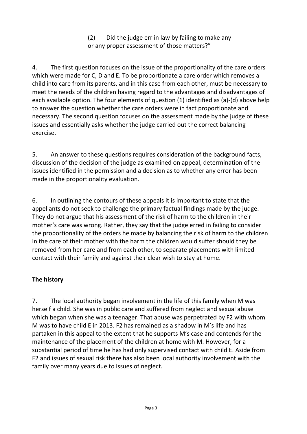(2) Did the judge err in law by failing to make any or any proper assessment of those matters?"

4. The first question focuses on the issue of the proportionality of the care orders which were made for C, D and E. To be proportionate a care order which removes a child into care from its parents, and in this case from each other, must be necessary to meet the needs of the children having regard to the advantages and disadvantages of each available option. The four elements of question (1) identified as (a)-(d) above help to answer the question whether the care orders were in fact proportionate and necessary. The second question focuses on the assessment made by the judge of these issues and essentially asks whether the judge carried out the correct balancing exercise.

5. An answer to these questions requires consideration of the background facts, discussion of the decision of the judge as examined on appeal, determination of the issues identified in the permission and a decision as to whether any error has been made in the proportionality evaluation.

6. In outlining the contours of these appeals it is important to state that the appellants do not seek to challenge the primary factual findings made by the judge. They do not argue that his assessment of the risk of harm to the children in their mother's care was wrong. Rather, they say that the judge erred in failing to consider the proportionality of the orders he made by balancing the risk of harm to the children in the care of their mother with the harm the children would suffer should they be removed from her care and from each other, to separate placements with limited contact with their family and against their clear wish to stay at home.

#### **The history**

7. The local authority began involvement in the life of this family when M was herself a child. She was in public care and suffered from neglect and sexual abuse which began when she was a teenager. That abuse was perpetrated by F2 with whom M was to have child E in 2013. F2 has remained as a shadow in M's life and has partaken in this appeal to the extent that he supports M's case and contends for the maintenance of the placement of the children at home with M. However, for a substantial period of time he has had only supervised contact with child E. Aside from F2 and issues of sexual risk there has also been local authority involvement with the family over many years due to issues of neglect.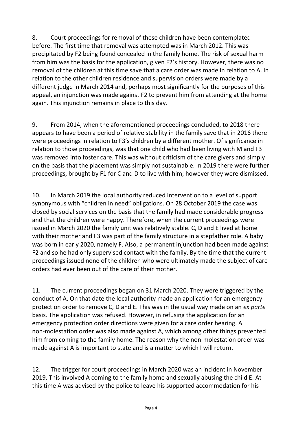8. Court proceedings for removal of these children have been contemplated before. The first time that removal was attempted was in March 2012. This was precipitated by F2 being found concealed in the family home. The risk of sexual harm from him was the basis for the application, given F2's history. However, there was no removal of the children at this time save that a care order was made in relation to A. In relation to the other children residence and supervision orders were made by a different judge in March 2014 and, perhaps most significantly for the purposes of this appeal, an injunction was made against F2 to prevent him from attending at the home again. This injunction remains in place to this day.

9. From 2014, when the aforementioned proceedings concluded, to 2018 there appears to have been a period of relative stability in the family save that in 2016 there were proceedings in relation to F3's children by a different mother. Of significance in relation to those proceedings, was that one child who had been living with M and F3 was removed into foster care. This was without criticism of the care givers and simply on the basis that the placement was simply not sustainable. In 2019 there were further proceedings, brought by F1 for C and D to live with him; however they were dismissed.

10. In March 2019 the local authority reduced intervention to a level of support synonymous with "children in need" obligations. On 28 October 2019 the case was closed by social services on the basis that the family had made considerable progress and that the children were happy. Therefore, when the current proceedings were issued in March 2020 the family unit was relatively stable. C, D and E lived at home with their mother and F3 was part of the family structure in a stepfather role. A baby was born in early 2020, namely F. Also, a permanent injunction had been made against F2 and so he had only supervised contact with the family. By the time that the current proceedings issued none of the children who were ultimately made the subject of care orders had ever been out of the care of their mother.

11. The current proceedings began on 31 March 2020. They were triggered by the conduct of A. On that date the local authority made an application for an emergency protection order to remove C, D and E. This was in the usual way made on an *ex parte* basis. The application was refused. However, in refusing the application for an emergency protection order directions were given for a care order hearing. A non-molestation order was also made against A, which among other things prevented him from coming to the family home. The reason why the non-molestation order was made against A is important to state and is a matter to which I will return.

12. The trigger for court proceedings in March 2020 was an incident in November 2019. This involved A coming to the family home and sexually abusing the child E. At this time A was advised by the police to leave his supported accommodation for his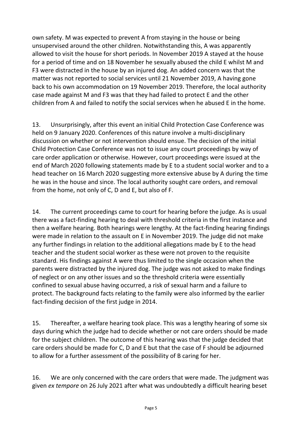own safety. M was expected to prevent A from staying in the house or being unsupervised around the other children. Notwithstanding this, A was apparently allowed to visit the house for short periods. In November 2019 A stayed at the house for a period of time and on 18 November he sexually abused the child E whilst M and F3 were distracted in the house by an injured dog. An added concern was that the matter was not reported to social services until 21 November 2019, A having gone back to his own accommodation on 19 November 2019. Therefore, the local authority case made against M and F3 was that they had failed to protect E and the other children from A and failed to notify the social services when he abused E in the home.

13. Unsurprisingly, after this event an initial Child Protection Case Conference was held on 9 January 2020. Conferences of this nature involve a multi-disciplinary discussion on whether or not intervention should ensue. The decision of the initial Child Protection Case Conference was not to issue any court proceedings by way of care order application or otherwise. However, court proceedings were issued at the end of March 2020 following statements made by E to a student social worker and to a head teacher on 16 March 2020 suggesting more extensive abuse by A during the time he was in the house and since. The local authority sought care orders, and removal from the home, not only of C, D and E, but also of F.

14. The current proceedings came to court for hearing before the judge. As is usual there was a fact-finding hearing to deal with threshold criteria in the first instance and then a welfare hearing. Both hearings were lengthy. At the fact-finding hearing findings were made in relation to the assault on E in November 2019. The judge did not make any further findings in relation to the additional allegations made by E to the head teacher and the student social worker as these were not proven to the requisite standard. His findings against A were thus limited to the single occasion when the parents were distracted by the injured dog. The judge was not asked to make findings of neglect or on any other issues and so the threshold criteria were essentially confined to sexual abuse having occurred, a risk of sexual harm and a failure to protect. The background facts relating to the family were also informed by the earlier fact-finding decision of the first judge in 2014.

15. Thereafter, a welfare hearing took place. This was a lengthy hearing of some six days during which the judge had to decide whether or not care orders should be made for the subject children. The outcome of this hearing was that the judge decided that care orders should be made for C, D and E but that the case of F should be adjourned to allow for a further assessment of the possibility of B caring for her.

16. We are only concerned with the care orders that were made. The judgment was given *ex tempore* on 26 July 2021 after what was undoubtedly a difficult hearing beset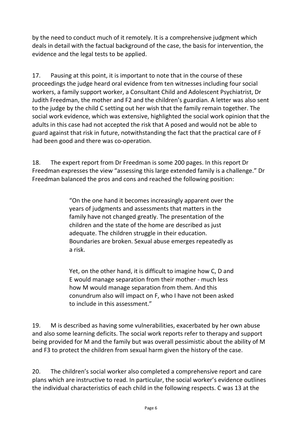by the need to conduct much of it remotely. It is a comprehensive judgment which deals in detail with the factual background of the case, the basis for intervention, the evidence and the legal tests to be applied.

17. Pausing at this point, it is important to note that in the course of these proceedings the judge heard oral evidence from ten witnesses including four social workers, a family support worker, a Consultant Child and Adolescent Psychiatrist, Dr Judith Freedman, the mother and F2 and the children's guardian. A letter was also sent to the judge by the child C setting out her wish that the family remain together. The social work evidence, which was extensive, highlighted the social work opinion that the adults in this case had not accepted the risk that A posed and would not be able to guard against that risk in future, notwithstanding the fact that the practical care of F had been good and there was co-operation.

18. The expert report from Dr Freedman is some 200 pages. In this report Dr Freedman expresses the view "assessing this large extended family is a challenge." Dr Freedman balanced the pros and cons and reached the following position:

> "On the one hand it becomes increasingly apparent over the years of judgments and assessments that matters in the family have not changed greatly. The presentation of the children and the state of the home are described as just adequate. The children struggle in their education. Boundaries are broken. Sexual abuse emerges repeatedly as a risk.

> Yet, on the other hand, it is difficult to imagine how C, D and E would manage separation from their mother - much less how M would manage separation from them. And this conundrum also will impact on F, who I have not been asked to include in this assessment."

19. M is described as having some vulnerabilities, exacerbated by her own abuse and also some learning deficits. The social work reports refer to therapy and support being provided for M and the family but was overall pessimistic about the ability of M and F3 to protect the children from sexual harm given the history of the case.

20. The children's social worker also completed a comprehensive report and care plans which are instructive to read. In particular, the social worker's evidence outlines the individual characteristics of each child in the following respects. C was 13 at the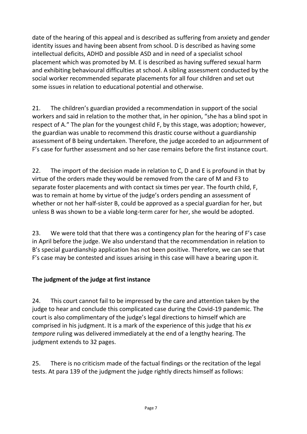date of the hearing of this appeal and is described as suffering from anxiety and gender identity issues and having been absent from school. D is described as having some intellectual deficits, ADHD and possible ASD and in need of a specialist school placement which was promoted by M. E is described as having suffered sexual harm and exhibiting behavioural difficulties at school. A sibling assessment conducted by the social worker recommended separate placements for all four children and set out some issues in relation to educational potential and otherwise.

21. The children's guardian provided a recommendation in support of the social workers and said in relation to the mother that, in her opinion, "she has a blind spot in respect of A." The plan for the youngest child F, by this stage, was adoption; however, the guardian was unable to recommend this drastic course without a guardianship assessment of B being undertaken. Therefore, the judge acceded to an adjournment of F's case for further assessment and so her case remains before the first instance court.

22. The import of the decision made in relation to C, D and E is profound in that by virtue of the orders made they would be removed from the care of M and F3 to separate foster placements and with contact six times per year. The fourth child, F, was to remain at home by virtue of the judge's orders pending an assessment of whether or not her half-sister B, could be approved as a special guardian for her, but unless B was shown to be a viable long-term carer for her, she would be adopted.

23. We were told that that there was a contingency plan for the hearing of F's case in April before the judge. We also understand that the recommendation in relation to B's special guardianship application has not been positive. Therefore, we can see that F's case may be contested and issues arising in this case will have a bearing upon it.

#### **The judgment of the judge at first instance**

24. This court cannot fail to be impressed by the care and attention taken by the judge to hear and conclude this complicated case during the Covid-19 pandemic. The court is also complimentary of the judge's legal directions to himself which are comprised in his judgment. It is a mark of the experience of this judge that his *ex tempore* ruling was delivered immediately at the end of a lengthy hearing. The judgment extends to 32 pages.

25. There is no criticism made of the factual findings or the recitation of the legal tests. At para 139 of the judgment the judge rightly directs himself as follows: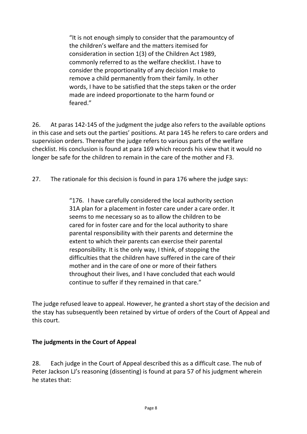"It is not enough simply to consider that the paramountcy of the children's welfare and the matters itemised for consideration in section 1(3) of the Children Act 1989, commonly referred to as the welfare checklist. I have to consider the proportionality of any decision I make to remove a child permanently from their family. In other words, I have to be satisfied that the steps taken or the order made are indeed proportionate to the harm found or feared."

26. At paras 142-145 of the judgment the judge also refers to the available options in this case and sets out the parties' positions. At para 145 he refers to care orders and supervision orders. Thereafter the judge refers to various parts of the welfare checklist. His conclusion is found at para 169 which records his view that it would no longer be safe for the children to remain in the care of the mother and F3.

27. The rationale for this decision is found in para 176 where the judge says:

"176. I have carefully considered the local authority section 31A plan for a placement in foster care under a care order. It seems to me necessary so as to allow the children to be cared for in foster care and for the local authority to share parental responsibility with their parents and determine the extent to which their parents can exercise their parental responsibility. It is the only way, I think, of stopping the difficulties that the children have suffered in the care of their mother and in the care of one or more of their fathers throughout their lives, and I have concluded that each would continue to suffer if they remained in that care."

The judge refused leave to appeal. However, he granted a short stay of the decision and the stay has subsequently been retained by virtue of orders of the Court of Appeal and this court.

#### **The judgments in the Court of Appeal**

28. Each judge in the Court of Appeal described this as a difficult case. The nub of Peter Jackson LJ's reasoning (dissenting) is found at para 57 of his judgment wherein he states that: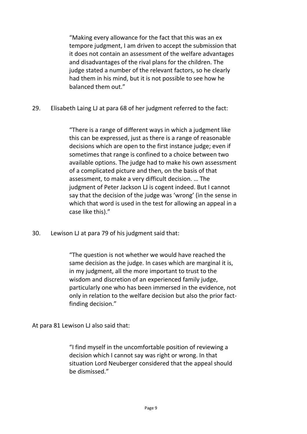"Making every allowance for the fact that this was an ex tempore judgment, I am driven to accept the submission that it does not contain an assessment of the welfare advantages and disadvantages of the rival plans for the children. The judge stated a number of the relevant factors, so he clearly had them in his mind, but it is not possible to see how he balanced them out."

29. Elisabeth Laing LJ at para 68 of her judgment referred to the fact:

"There is a range of different ways in which a judgment like this can be expressed, just as there is a range of reasonable decisions which are open to the first instance judge; even if sometimes that range is confined to a choice between two available options. The judge had to make his own assessment of a complicated picture and then, on the basis of that assessment, to make a very difficult decision. … The judgment of Peter Jackson LJ is cogent indeed. But I cannot say that the decision of the judge was 'wrong' (in the sense in which that word is used in the test for allowing an appeal in a case like this)."

30. Lewison LJ at para 79 of his judgment said that:

"The question is not whether we would have reached the same decision as the judge. In cases which are marginal it is, in my judgment, all the more important to trust to the wisdom and discretion of an experienced family judge, particularly one who has been immersed in the evidence, not only in relation to the welfare decision but also the prior factfinding decision."

At para 81 Lewison LJ also said that:

"I find myself in the uncomfortable position of reviewing a decision which I cannot say was right or wrong. In that situation Lord Neuberger considered that the appeal should be dismissed."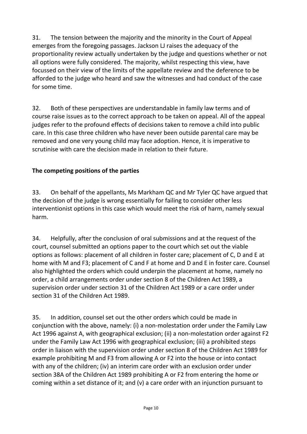31. The tension between the majority and the minority in the Court of Appeal emerges from the foregoing passages. Jackson LJ raises the adequacy of the proportionality review actually undertaken by the judge and questions whether or not all options were fully considered. The majority, whilst respecting this view, have focussed on their view of the limits of the appellate review and the deference to be afforded to the judge who heard and saw the witnesses and had conduct of the case for some time.

32. Both of these perspectives are understandable in family law terms and of course raise issues as to the correct approach to be taken on appeal. All of the appeal judges refer to the profound effects of decisions taken to remove a child into public care. In this case three children who have never been outside parental care may be removed and one very young child may face adoption. Hence, it is imperative to scrutinise with care the decision made in relation to their future.

#### **The competing positions of the parties**

33. On behalf of the appellants, Ms Markham QC and Mr Tyler QC have argued that the decision of the judge is wrong essentially for failing to consider other less interventionist options in this case which would meet the risk of harm, namely sexual harm.

34. Helpfully, after the conclusion of oral submissions and at the request of the court, counsel submitted an options paper to the court which set out the viable options as follows: placement of all children in foster care; placement of C, D and E at home with M and F3; placement of C and F at home and D and E in foster care. Counsel also highlighted the orders which could underpin the placement at home, namely no order, a child arrangements order under section 8 of the Children Act 1989, a supervision order under section 31 of the Children Act 1989 or a care order under section 31 of the Children Act 1989.

35. In addition, counsel set out the other orders which could be made in conjunction with the above, namely: (i) a non-molestation order under the Family Law Act 1996 against A, with geographical exclusion; (ii) a non-molestation order against F2 under the Family Law Act 1996 with geographical exclusion; (iii) a prohibited steps order in liaison with the supervision order under section 8 of the Children Act 1989 for example prohibiting M and F3 from allowing A or F2 into the house or into contact with any of the children; (iv) an interim care order with an exclusion order under section 38A of the Children Act 1989 prohibiting A or F2 from entering the home or coming within a set distance of it; and (v) a care order with an injunction pursuant to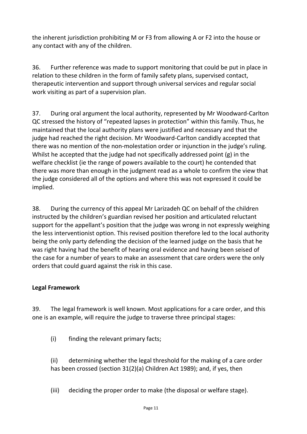the inherent jurisdiction prohibiting M or F3 from allowing A or F2 into the house or any contact with any of the children.

36. Further reference was made to support monitoring that could be put in place in relation to these children in the form of family safety plans, supervised contact, therapeutic intervention and support through universal services and regular social work visiting as part of a supervision plan.

37. During oral argument the local authority, represented by Mr Woodward-Carlton QC stressed the history of "repeated lapses in protection" within this family. Thus, he maintained that the local authority plans were justified and necessary and that the judge had reached the right decision. Mr Woodward-Carlton candidly accepted that there was no mention of the non-molestation order or injunction in the judge's ruling. Whilst he accepted that the judge had not specifically addressed point (g) in the welfare checklist (ie the range of powers available to the court) he contended that there was more than enough in the judgment read as a whole to confirm the view that the judge considered all of the options and where this was not expressed it could be implied.

38. During the currency of this appeal Mr Larizadeh QC on behalf of the children instructed by the children's guardian revised her position and articulated reluctant support for the appellant's position that the judge was wrong in not expressly weighing the less interventionist option. This revised position therefore led to the local authority being the only party defending the decision of the learned judge on the basis that he was right having had the benefit of hearing oral evidence and having been seised of the case for a number of years to make an assessment that care orders were the only orders that could guard against the risk in this case.

#### **Legal Framework**

39. The legal framework is well known. Most applications for a care order, and this one is an example, will require the judge to traverse three principal stages:

(i) finding the relevant primary facts;

(ii) determining whether the legal threshold for the making of a care order has been crossed (section 31(2)(a) Children Act 1989); and, if yes, then

(iii) deciding the proper order to make (the disposal or welfare stage).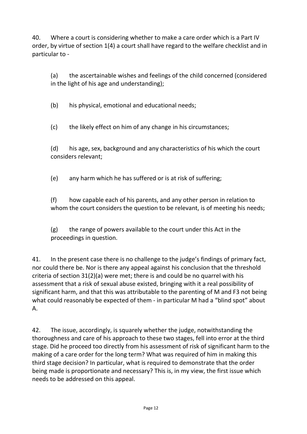40. Where a court is considering whether to make a care order which is a Part IV order, by virtue of section 1(4) a court shall have regard to the welfare checklist and in particular to -

(a) the ascertainable wishes and feelings of the child concerned (considered in the light of his age and understanding);

(b) his physical, emotional and educational needs;

(c) the likely effect on him of any change in his circumstances;

(d) his age, sex, background and any characteristics of his which the court considers relevant;

(e) any harm which he has suffered or is at risk of suffering;

(f) how capable each of his parents, and any other person in relation to whom the court considers the question to be relevant, is of meeting his needs;

(g) the range of powers available to the court under this Act in the proceedings in question.

41. In the present case there is no challenge to the judge's findings of primary fact, nor could there be. Nor is there any appeal against his conclusion that the threshold criteria of section 31(2)(a) were met; there is and could be no quarrel with his assessment that a risk of sexual abuse existed, bringing with it a real possibility of significant harm, and that this was attributable to the parenting of M and F3 not being what could reasonably be expected of them - in particular M had a "blind spot" about A.

42. The issue, accordingly, is squarely whether the judge, notwithstanding the thoroughness and care of his approach to these two stages, fell into error at the third stage. Did he proceed too directly from his assessment of risk of significant harm to the making of a care order for the long term? What was required of him in making this third stage decision? In particular, what is required to demonstrate that the order being made is proportionate and necessary? This is, in my view, the first issue which needs to be addressed on this appeal.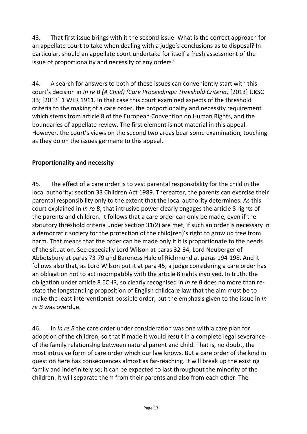43. That first issue brings with it the second issue: What is the correct approach for an appellate court to take when dealing with a judge's conclusions as to disposal? In particular, should an appellate court undertake for itself a fresh assessment of the issue of proportionality and necessity of any orders?

44. A search for answers to both of these issues can conveniently start with this court's decision in *In re B (A Child) (Care Proceedings: Threshold Criteria)* [2013] UKSC 33; [2013] 1 WLR 1911. In that case this court examined aspects of the threshold criteria to the making of a care order, the proportionality and necessity requirement which stems from article 8 of the European Convention on Human Rights, and the boundaries of appellate review. The first element is not material in this appeal. However, the court's views on the second two areas bear some examination, touching as they do on the issues germane to this appeal.

### **Proportionality and necessity**

45. The effect of a care order is to vest parental responsibility for the child in the local authority: section 33 Children Act 1989. Thereafter, the parents can exercise their parental responsibility only to the extent that the local authority determines. As this court explained in *In re B*, that intrusive power clearly engages the article 8 rights of the parents and children. It follows that a care order can only be made, even if the statutory threshold criteria under section 31(2) are met, if such an order is necessary in a democratic society for the protection of the child(ren)'s right to grow up free from harm. That means that the order can be made only if it is proportionate to the needs of the situation. See especially Lord Wilson at paras 32-34, Lord Neuberger of Abbotsbury at paras 73-79 and Baroness Hale of Richmond at paras 194-198. And it follows also that, as Lord Wilson put it at para 45, a judge considering a care order has an obligation not to act incompatibly with the article 8 rights involved. In truth, the obligation under article 8 ECHR, so clearly recognised in *In re B* does no more than restate the longstanding proposition of English childcare law that the aim must be to make the least interventionist possible order, but the emphasis given to the issue in *In re B* was overdue.

46. In *In re B* the care order under consideration was one with a care plan for adoption of the children, so that if made it would result in a complete legal severance of the family relationship between natural parent and child. That is, no doubt, the most intrusive form of care order which our law knows. But a care order of the kind in question here has consequences almost as far-reaching. It will break up the existing family and indefinitely so; it can be expected to last throughout the minority of the children. It will separate them from their parents and also from each other. The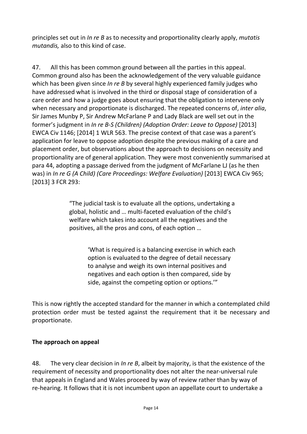principles set out in *In re B* as to necessity and proportionality clearly apply, *mutatis mutandis,* also to this kind of case.

47. All this has been common ground between all the parties in this appeal. Common ground also has been the acknowledgement of the very valuable guidance which has been given since *In re B* by several highly experienced family judges who have addressed what is involved in the third or disposal stage of consideration of a care order and how a judge goes about ensuring that the obligation to intervene only when necessary and proportionate is discharged. The repeated concerns of, *inter alia*, Sir James Munby P, Sir Andrew McFarlane P and Lady Black are well set out in the former's judgment in *In re B-S (Children) (Adoption Order: Leave to Oppose)* [2013] EWCA Civ 1146; [2014] 1 WLR 563. The precise context of that case was a parent's application for leave to oppose adoption despite the previous making of a care and placement order, but observations about the approach to decisions on necessity and proportionality are of general application. They were most conveniently summarised at para 44, adopting a passage derived from the judgment of McFarlane LJ (as he then was) in *In re G (A Child) (Care Proceedings: Welfare Evaluation)* [2013] EWCA Civ 965; [2013] 3 FCR 293:

> "The judicial task is to evaluate all the options, undertaking a global, holistic and … multi-faceted evaluation of the child's welfare which takes into account all the negatives and the positives, all the pros and cons, of each option …

> > 'What is required is a balancing exercise in which each option is evaluated to the degree of detail necessary to analyse and weigh its own internal positives and negatives and each option is then compared, side by side, against the competing option or options.'"

This is now rightly the accepted standard for the manner in which a contemplated child protection order must be tested against the requirement that it be necessary and proportionate.

#### **The approach on appeal**

48. The very clear decision in *In re B*, albeit by majority, is that the existence of the requirement of necessity and proportionality does not alter the near-universal rule that appeals in England and Wales proceed by way of review rather than by way of re-hearing. It follows that it is not incumbent upon an appellate court to undertake a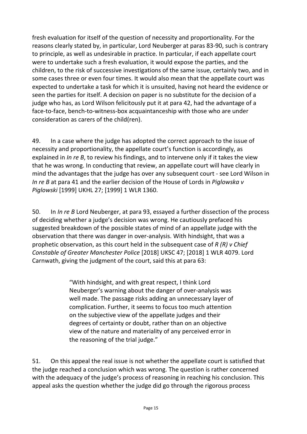fresh evaluation for itself of the question of necessity and proportionality. For the reasons clearly stated by, in particular, Lord Neuberger at paras 83-90, such is contrary to principle, as well as undesirable in practice. In particular, if each appellate court were to undertake such a fresh evaluation, it would expose the parties, and the children, to the risk of successive investigations of the same issue, certainly two, and in some cases three or even four times. It would also mean that the appellate court was expected to undertake a task for which it is unsuited, having not heard the evidence or seen the parties for itself. A decision on paper is no substitute for the decision of a judge who has, as Lord Wilson felicitously put it at para 42, had the advantage of a face-to-face, bench-to-witness-box acquaintanceship with those who are under consideration as carers of the child(ren).

49. In a case where the judge has adopted the correct approach to the issue of necessity and proportionality, the appellate court's function is accordingly, as explained in *In re B*, to review his findings, and to intervene only if it takes the view that he was wrong. In conducting that review, an appellate court will have clearly in mind the advantages that the judge has over any subsequent court - see Lord Wilson in *In re B* at para 41 and the earlier decision of the House of Lords in *Piglowska v Piglowski* [1999] UKHL 27; [1999] 1 WLR 1360.

50. In *In re B* Lord Neuberger, at para 93, essayed a further dissection of the process of deciding whether a judge's decision was wrong. He cautiously prefaced his suggested breakdown of the possible states of mind of an appellate judge with the observation that there was danger in over-analysis. With hindsight, that was a prophetic observation, as this court held in the subsequent case of *R (R) v Chief Constable of Greater Manchester Police* [2018] UKSC 47; [2018] 1 WLR 4079. Lord Carnwath, giving the judgment of the court, said this at para 63:

> "With hindsight, and with great respect, I think Lord Neuberger's warning about the danger of over-analysis was well made. The passage risks adding an unnecessary layer of complication. Further, it seems to focus too much attention on the subjective view of the appellate judges and their degrees of certainty or doubt, rather than on an objective view of the nature and materiality of any perceived error in the reasoning of the trial judge."

51. On this appeal the real issue is not whether the appellate court is satisfied that the judge reached a conclusion which was wrong. The question is rather concerned with the adequacy of the judge's process of reasoning in reaching his conclusion. This appeal asks the question whether the judge did go through the rigorous process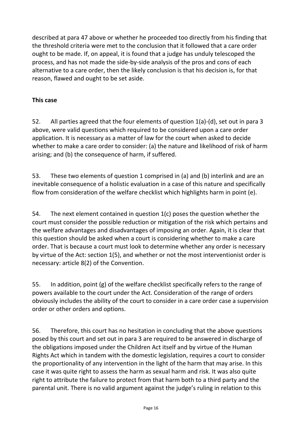described at para 47 above or whether he proceeded too directly from his finding that the threshold criteria were met to the conclusion that it followed that a care order ought to be made. If, on appeal, it is found that a judge has unduly telescoped the process, and has not made the side-by-side analysis of the pros and cons of each alternative to a care order, then the likely conclusion is that his decision is, for that reason, flawed and ought to be set aside.

#### **This case**

52. All parties agreed that the four elements of question 1(a)-(d), set out in para 3 above, were valid questions which required to be considered upon a care order application. It is necessary as a matter of law for the court when asked to decide whether to make a care order to consider: (a) the nature and likelihood of risk of harm arising; and (b) the consequence of harm, if suffered.

53. These two elements of question 1 comprised in (a) and (b) interlink and are an inevitable consequence of a holistic evaluation in a case of this nature and specifically flow from consideration of the welfare checklist which highlights harm in point (e).

54. The next element contained in question 1(c) poses the question whether the court must consider the possible reduction or mitigation of the risk which pertains and the welfare advantages and disadvantages of imposing an order. Again, it is clear that this question should be asked when a court is considering whether to make a care order. That is because a court must look to determine whether any order is necessary by virtue of the Act: section 1(5), and whether or not the most interventionist order is necessary: article 8(2) of the Convention.

55. In addition, point (g) of the welfare checklist specifically refers to the range of powers available to the court under the Act. Consideration of the range of orders obviously includes the ability of the court to consider in a care order case a supervision order or other orders and options.

56. Therefore, this court has no hesitation in concluding that the above questions posed by this court and set out in para 3 are required to be answered in discharge of the obligations imposed under the Children Act itself and by virtue of the Human Rights Act which in tandem with the domestic legislation, requires a court to consider the proportionality of any intervention in the light of the harm that may arise. In this case it was quite right to assess the harm as sexual harm and risk. It was also quite right to attribute the failure to protect from that harm both to a third party and the parental unit. There is no valid argument against the judge's ruling in relation to this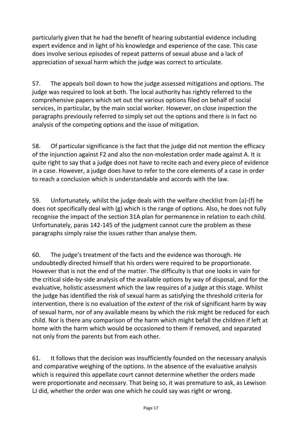particularly given that he had the benefit of hearing substantial evidence including expert evidence and in light of his knowledge and experience of the case. This case does involve serious episodes of repeat patterns of sexual abuse and a lack of appreciation of sexual harm which the judge was correct to articulate.

57. The appeals boil down to how the judge assessed mitigations and options. The judge was required to look at both. The local authority has rightly referred to the comprehensive papers which set out the various options filed on behalf of social services, in particular, by the main social worker. However, on close inspection the paragraphs previously referred to simply set out the options and there is in fact no analysis of the competing options and the issue of mitigation.

58. Of particular significance is the fact that the judge did not mention the efficacy of the injunction against F2 and also the non-molestation order made against A. It is quite right to say that a judge does not have to recite each and every piece of evidence in a case. However, a judge does have to refer to the core elements of a case in order to reach a conclusion which is understandable and accords with the law.

59. Unfortunately, whilst the judge deals with the welfare checklist from (a)-(f) he does not specifically deal with (g) which is the range of options. Also, he does not fully recognise the impact of the section 31A plan for permanence in relation to each child. Unfortunately, paras 142-145 of the judgment cannot cure the problem as these paragraphs simply raise the issues rather than analyse them.

60. The judge's treatment of the facts and the evidence was thorough. He undoubtedly directed himself that his orders were required to be proportionate. However that is not the end of the matter. The difficulty is that one looks in vain for the critical side-by-side analysis of the available options by way of disposal, and for the evaluative, holistic assessment which the law requires of a judge at this stage. Whilst the judge has identified the risk of sexual harm as satisfying the threshold criteria for intervention, there is no evaluation of the *extent* of the risk of significant harm by way of sexual harm, nor of any available means by which the risk might be reduced for each child. Nor is there any comparison of the harm which might befall the children if left at home with the harm which would be occasioned to them if removed, and separated not only from the parents but from each other.

61. It follows that the decision was insufficiently founded on the necessary analysis and comparative weighing of the options. In the absence of the evaluative analysis which is required this appellate court cannot determine whether the orders made were proportionate and necessary. That being so, it was premature to ask, as Lewison LJ did, whether the order was one which he could say was right or wrong.